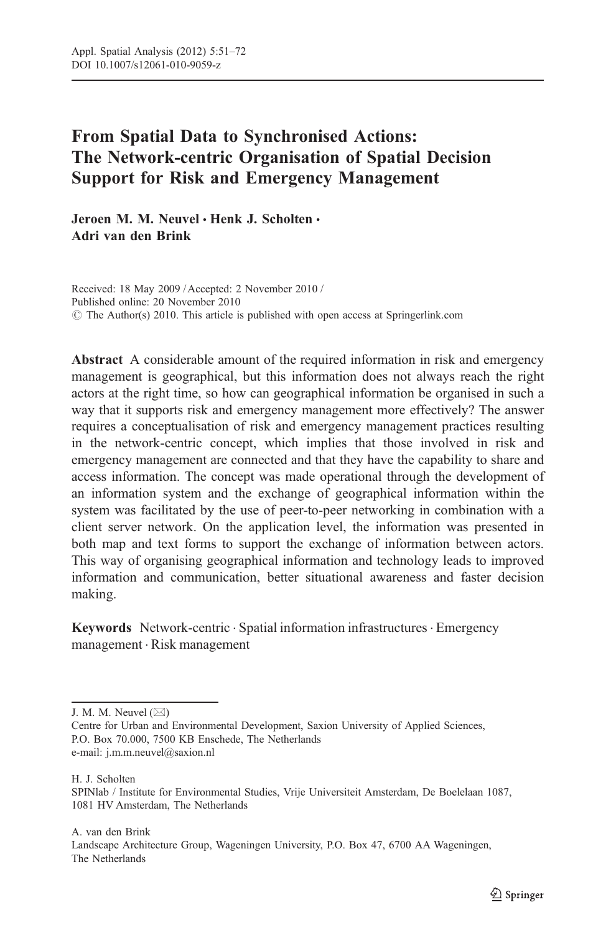# From Spatial Data to Synchronised Actions: The Network-centric Organisation of Spatial Decision Support for Risk and Emergency Management

Jeroen M. M. Neuvel · Henk J. Scholten · Adri van den Brink

Received: 18 May 2009 / Accepted: 2 November 2010 / Published online: 20 November 2010  $\odot$  The Author(s) 2010. This article is published with open access at Springerlink.com

Abstract A considerable amount of the required information in risk and emergency management is geographical, but this information does not always reach the right actors at the right time, so how can geographical information be organised in such a way that it supports risk and emergency management more effectively? The answer requires a conceptualisation of risk and emergency management practices resulting in the network-centric concept, which implies that those involved in risk and emergency management are connected and that they have the capability to share and access information. The concept was made operational through the development of an information system and the exchange of geographical information within the system was facilitated by the use of peer-to-peer networking in combination with a client server network. On the application level, the information was presented in both map and text forms to support the exchange of information between actors. This way of organising geographical information and technology leads to improved information and communication, better situational awareness and faster decision making.

Keywords Network-centric · Spatial information infrastructures · Emergency management . Risk management

J. M. M. Neuvel  $(\boxtimes)$ 

Centre for Urban and Environmental Development, Saxion University of Applied Sciences, P.O. Box 70.000, 7500 KB Enschede, The Netherlands e-mail: j.m.m.neuvel@saxion.nl

H. J. Scholten SPINlab / Institute for Environmental Studies, Vrije Universiteit Amsterdam, De Boelelaan 1087, 1081 HV Amsterdam, The Netherlands

A. van den Brink Landscape Architecture Group, Wageningen University, P.O. Box 47, 6700 AA Wageningen, The Netherlands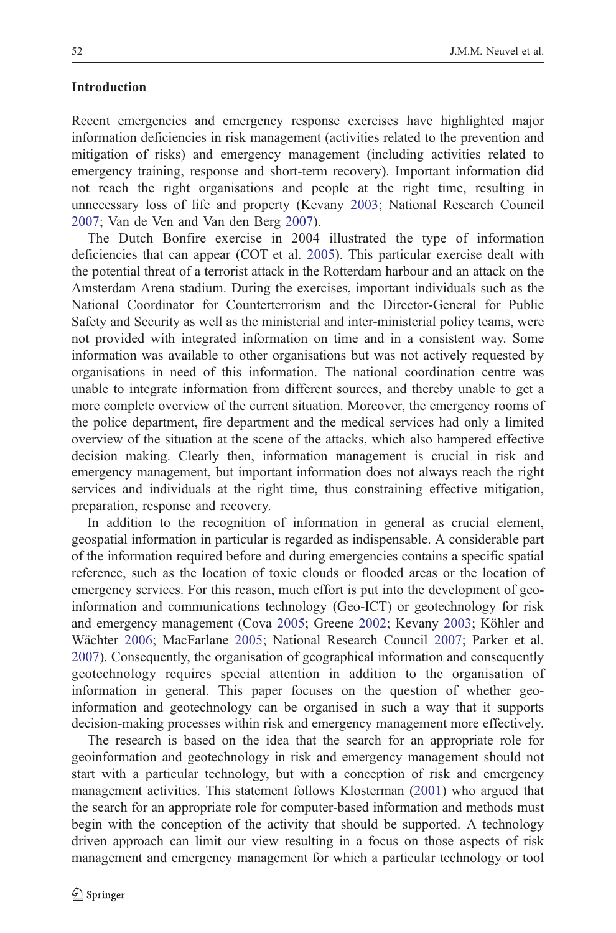#### Introduction

Recent emergencies and emergency response exercises have highlighted major information deficiencies in risk management (activities related to the prevention and mitigation of risks) and emergency management (including activities related to emergency training, response and short-term recovery). Important information did not reach the right organisations and people at the right time, resulting in unnecessary loss of life and property (Kevany [2003](#page-20-0); National Research Council [2007;](#page-20-0) Van de Ven and Van den Berg [2007\)](#page-21-0).

The Dutch Bonfire exercise in 2004 illustrated the type of information deficiencies that can appear (COT et al. [2005](#page-20-0)). This particular exercise dealt with the potential threat of a terrorist attack in the Rotterdam harbour and an attack on the Amsterdam Arena stadium. During the exercises, important individuals such as the National Coordinator for Counterterrorism and the Director-General for Public Safety and Security as well as the ministerial and inter-ministerial policy teams, were not provided with integrated information on time and in a consistent way. Some information was available to other organisations but was not actively requested by organisations in need of this information. The national coordination centre was unable to integrate information from different sources, and thereby unable to get a more complete overview of the current situation. Moreover, the emergency rooms of the police department, fire department and the medical services had only a limited overview of the situation at the scene of the attacks, which also hampered effective decision making. Clearly then, information management is crucial in risk and emergency management, but important information does not always reach the right services and individuals at the right time, thus constraining effective mitigation, preparation, response and recovery.

In addition to the recognition of information in general as crucial element, geospatial information in particular is regarded as indispensable. A considerable part of the information required before and during emergencies contains a specific spatial reference, such as the location of toxic clouds or flooded areas or the location of emergency services. For this reason, much effort is put into the development of geoinformation and communications technology (Geo-ICT) or geotechnology for risk and emergency management (Cova [2005;](#page-20-0) Greene [2002;](#page-20-0) Kevany [2003;](#page-20-0) Köhler and Wächter [2006;](#page-20-0) MacFarlane [2005;](#page-20-0) National Research Council [2007;](#page-20-0) Parker et al. [2007\)](#page-20-0). Consequently, the organisation of geographical information and consequently geotechnology requires special attention in addition to the organisation of information in general. This paper focuses on the question of whether geoinformation and geotechnology can be organised in such a way that it supports decision-making processes within risk and emergency management more effectively.

The research is based on the idea that the search for an appropriate role for geoinformation and geotechnology in risk and emergency management should not start with a particular technology, but with a conception of risk and emergency management activities. This statement follows Klosterman ([2001](#page-20-0)) who argued that the search for an appropriate role for computer-based information and methods must begin with the conception of the activity that should be supported. A technology driven approach can limit our view resulting in a focus on those aspects of risk management and emergency management for which a particular technology or tool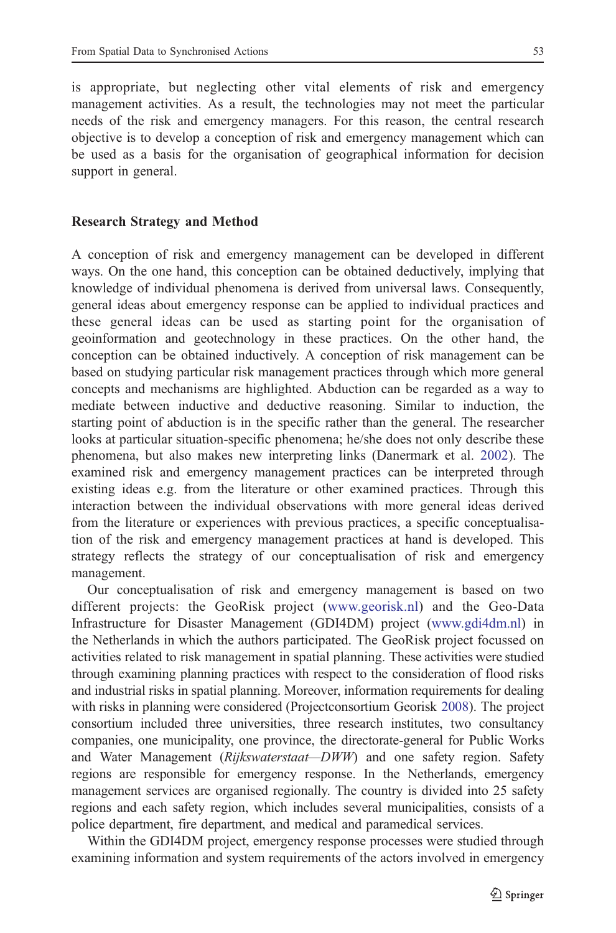is appropriate, but neglecting other vital elements of risk and emergency management activities. As a result, the technologies may not meet the particular needs of the risk and emergency managers. For this reason, the central research objective is to develop a conception of risk and emergency management which can be used as a basis for the organisation of geographical information for decision support in general.

#### Research Strategy and Method

A conception of risk and emergency management can be developed in different ways. On the one hand, this conception can be obtained deductively, implying that knowledge of individual phenomena is derived from universal laws. Consequently, general ideas about emergency response can be applied to individual practices and these general ideas can be used as starting point for the organisation of geoinformation and geotechnology in these practices. On the other hand, the conception can be obtained inductively. A conception of risk management can be based on studying particular risk management practices through which more general concepts and mechanisms are highlighted. Abduction can be regarded as a way to mediate between inductive and deductive reasoning. Similar to induction, the starting point of abduction is in the specific rather than the general. The researcher looks at particular situation-specific phenomena; he/she does not only describe these phenomena, but also makes new interpreting links (Danermark et al. [2002\)](#page-20-0). The examined risk and emergency management practices can be interpreted through existing ideas e.g. from the literature or other examined practices. Through this interaction between the individual observations with more general ideas derived from the literature or experiences with previous practices, a specific conceptualisation of the risk and emergency management practices at hand is developed. This strategy reflects the strategy of our conceptualisation of risk and emergency management.

Our conceptualisation of risk and emergency management is based on two different projects: the GeoRisk project ([www.georisk.nl\)](http://www.georisk.nl) and the Geo-Data Infrastructure for Disaster Management (GDI4DM) project [\(www.gdi4dm.nl\)](http://www.gdi4dm.nl) in the Netherlands in which the authors participated. The GeoRisk project focussed on activities related to risk management in spatial planning. These activities were studied through examining planning practices with respect to the consideration of flood risks and industrial risks in spatial planning. Moreover, information requirements for dealing with risks in planning were considered (Projectconsortium Georisk [2008\)](#page-20-0). The project consortium included three universities, three research institutes, two consultancy companies, one municipality, one province, the directorate-general for Public Works and Water Management (Rijkswaterstaat—DWW) and one safety region. Safety regions are responsible for emergency response. In the Netherlands, emergency management services are organised regionally. The country is divided into 25 safety regions and each safety region, which includes several municipalities, consists of a police department, fire department, and medical and paramedical services.

Within the GDI4DM project, emergency response processes were studied through examining information and system requirements of the actors involved in emergency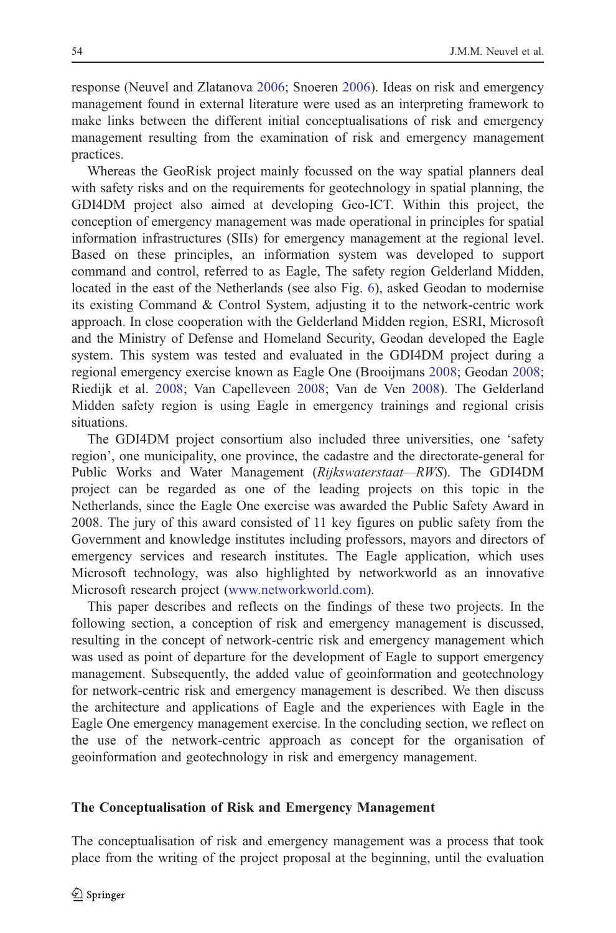response (Neuvel and Zlatanova [2006](#page-20-0); Snoeren [2006](#page-21-0)). Ideas on risk and emergency management found in external literature were used as an interpreting framework to make links between the different initial conceptualisations of risk and emergency management resulting from the examination of risk and emergency management practices.

Whereas the GeoRisk project mainly focussed on the way spatial planners deal with safety risks and on the requirements for geotechnology in spatial planning, the GDI4DM project also aimed at developing Geo-ICT. Within this project, the conception of emergency management was made operational in principles for spatial information infrastructures (SIIs) for emergency management at the regional level. Based on these principles, an information system was developed to support command and control, referred to as Eagle, The safety region Gelderland Midden, located in the east of the Netherlands (see also Fig. [6](#page-13-0)), asked Geodan to modernise its existing Command & Control System, adjusting it to the network-centric work approach. In close cooperation with the Gelderland Midden region, ESRI, Microsoft and the Ministry of Defense and Homeland Security, Geodan developed the Eagle system. This system was tested and evaluated in the GDI4DM project during a regional emergency exercise known as Eagle One (Brooijmans [2008](#page-20-0); Geodan [2008;](#page-20-0) Riedijk et al. [2008;](#page-21-0) Van Capelleveen [2008](#page-21-0); Van de Ven [2008\)](#page-21-0). The Gelderland Midden safety region is using Eagle in emergency trainings and regional crisis situations.

The GDI4DM project consortium also included three universities, one 'safety region', one municipality, one province, the cadastre and the directorate-general for Public Works and Water Management (Rijkswaterstaat-RWS). The GDI4DM project can be regarded as one of the leading projects on this topic in the Netherlands, since the Eagle One exercise was awarded the Public Safety Award in 2008. The jury of this award consisted of 11 key figures on public safety from the Government and knowledge institutes including professors, mayors and directors of emergency services and research institutes. The Eagle application, which uses Microsoft technology, was also highlighted by networkworld as an innovative Microsoft research project [\(www.networkworld.com\)](http://www.networkworld.com).

This paper describes and reflects on the findings of these two projects. In the following section, a conception of risk and emergency management is discussed, resulting in the concept of network-centric risk and emergency management which was used as point of departure for the development of Eagle to support emergency management. Subsequently, the added value of geoinformation and geotechnology for network-centric risk and emergency management is described. We then discuss the architecture and applications of Eagle and the experiences with Eagle in the Eagle One emergency management exercise. In the concluding section, we reflect on the use of the network-centric approach as concept for the organisation of geoinformation and geotechnology in risk and emergency management.

#### The Conceptualisation of Risk and Emergency Management

The conceptualisation of risk and emergency management was a process that took place from the writing of the project proposal at the beginning, until the evaluation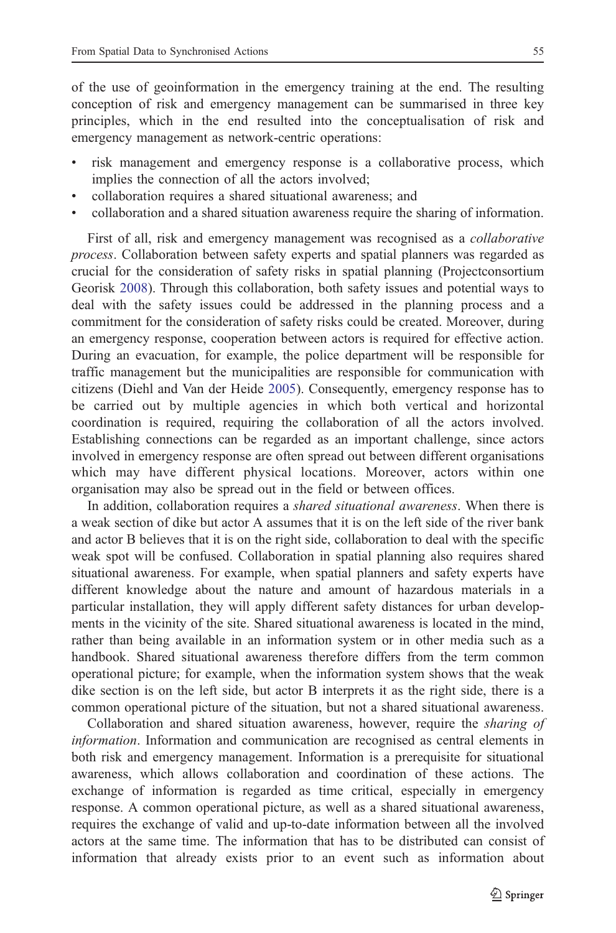of the use of geoinformation in the emergency training at the end. The resulting conception of risk and emergency management can be summarised in three key principles, which in the end resulted into the conceptualisation of risk and emergency management as network-centric operations:

- risk management and emergency response is a collaborative process, which implies the connection of all the actors involved;
- & collaboration requires a shared situational awareness; and
- & collaboration and a shared situation awareness require the sharing of information.

First of all, risk and emergency management was recognised as a collaborative process. Collaboration between safety experts and spatial planners was regarded as crucial for the consideration of safety risks in spatial planning (Projectconsortium Georisk [2008\)](#page-20-0). Through this collaboration, both safety issues and potential ways to deal with the safety issues could be addressed in the planning process and a commitment for the consideration of safety risks could be created. Moreover, during an emergency response, cooperation between actors is required for effective action. During an evacuation, for example, the police department will be responsible for traffic management but the municipalities are responsible for communication with citizens (Diehl and Van der Heide [2005](#page-20-0)). Consequently, emergency response has to be carried out by multiple agencies in which both vertical and horizontal coordination is required, requiring the collaboration of all the actors involved. Establishing connections can be regarded as an important challenge, since actors involved in emergency response are often spread out between different organisations which may have different physical locations. Moreover, actors within one organisation may also be spread out in the field or between offices.

In addition, collaboration requires a *shared situational awareness*. When there is a weak section of dike but actor A assumes that it is on the left side of the river bank and actor B believes that it is on the right side, collaboration to deal with the specific weak spot will be confused. Collaboration in spatial planning also requires shared situational awareness. For example, when spatial planners and safety experts have different knowledge about the nature and amount of hazardous materials in a particular installation, they will apply different safety distances for urban developments in the vicinity of the site. Shared situational awareness is located in the mind, rather than being available in an information system or in other media such as a handbook. Shared situational awareness therefore differs from the term common operational picture; for example, when the information system shows that the weak dike section is on the left side, but actor B interprets it as the right side, there is a common operational picture of the situation, but not a shared situational awareness.

Collaboration and shared situation awareness, however, require the sharing of information. Information and communication are recognised as central elements in both risk and emergency management. Information is a prerequisite for situational awareness, which allows collaboration and coordination of these actions. The exchange of information is regarded as time critical, especially in emergency response. A common operational picture, as well as a shared situational awareness, requires the exchange of valid and up-to-date information between all the involved actors at the same time. The information that has to be distributed can consist of information that already exists prior to an event such as information about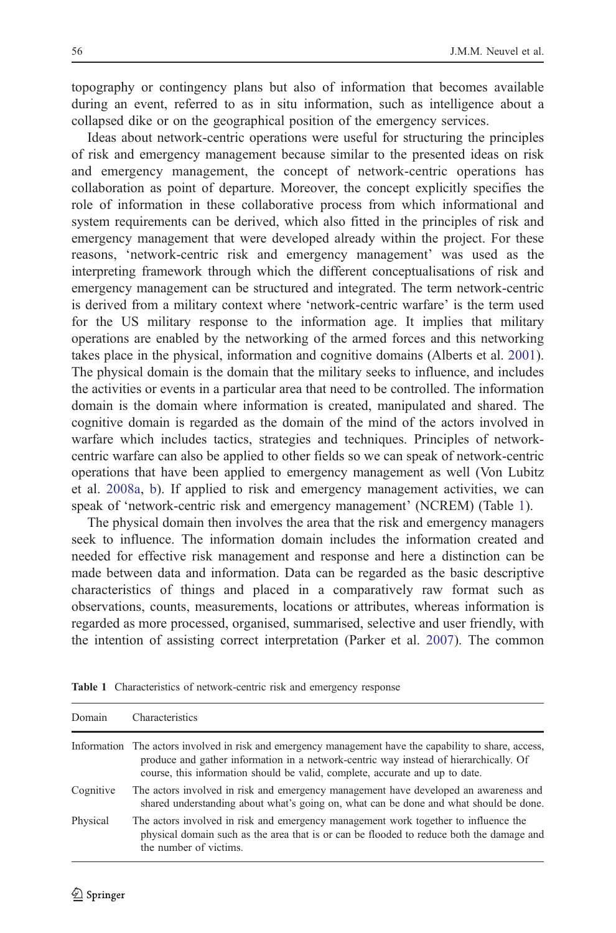topography or contingency plans but also of information that becomes available during an event, referred to as in situ information, such as intelligence about a collapsed dike or on the geographical position of the emergency services.

Ideas about network-centric operations were useful for structuring the principles of risk and emergency management because similar to the presented ideas on risk and emergency management, the concept of network-centric operations has collaboration as point of departure. Moreover, the concept explicitly specifies the role of information in these collaborative process from which informational and system requirements can be derived, which also fitted in the principles of risk and emergency management that were developed already within the project. For these reasons, 'network-centric risk and emergency management' was used as the interpreting framework through which the different conceptualisations of risk and emergency management can be structured and integrated. The term network-centric is derived from a military context where 'network-centric warfare' is the term used for the US military response to the information age. It implies that military operations are enabled by the networking of the armed forces and this networking takes place in the physical, information and cognitive domains (Alberts et al. [2001\)](#page-19-0). The physical domain is the domain that the military seeks to influence, and includes the activities or events in a particular area that need to be controlled. The information domain is the domain where information is created, manipulated and shared. The cognitive domain is regarded as the domain of the mind of the actors involved in warfare which includes tactics, strategies and techniques. Principles of networkcentric warfare can also be applied to other fields so we can speak of network-centric operations that have been applied to emergency management as well (Von Lubitz et al. [2008a](#page-21-0), [b\)](#page-21-0). If applied to risk and emergency management activities, we can speak of 'network-centric risk and emergency management' (NCREM) (Table 1).

The physical domain then involves the area that the risk and emergency managers seek to influence. The information domain includes the information created and needed for effective risk management and response and here a distinction can be made between data and information. Data can be regarded as the basic descriptive characteristics of things and placed in a comparatively raw format such as observations, counts, measurements, locations or attributes, whereas information is regarded as more processed, organised, summarised, selective and user friendly, with the intention of assisting correct interpretation (Parker et al. [2007](#page-20-0)). The common

| Domain    | Characteristics                                                                                                                                                                                                                                                                 |
|-----------|---------------------------------------------------------------------------------------------------------------------------------------------------------------------------------------------------------------------------------------------------------------------------------|
|           | Information The actors involved in risk and emergency management have the capability to share, access,<br>produce and gather information in a network-centric way instead of hierarchically. Of<br>course, this information should be valid, complete, accurate and up to date. |
| Cognitive | The actors involved in risk and emergency management have developed an awareness and<br>shared understanding about what's going on, what can be done and what should be done.                                                                                                   |
| Physical  | The actors involved in risk and emergency management work together to influence the<br>physical domain such as the area that is or can be flooded to reduce both the damage and<br>the number of victims.                                                                       |

Table 1 Characteristics of network-centric risk and emergency response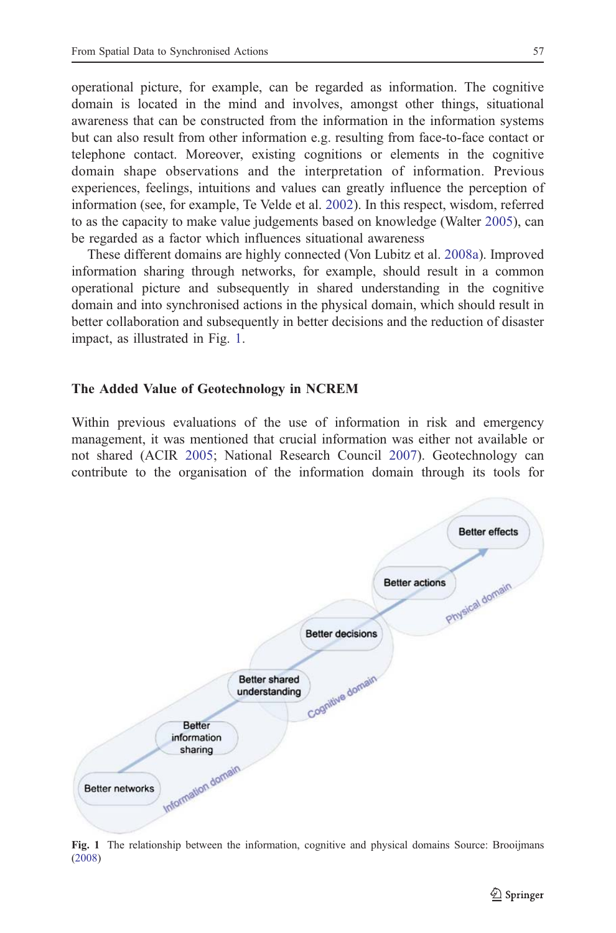operational picture, for example, can be regarded as information. The cognitive domain is located in the mind and involves, amongst other things, situational awareness that can be constructed from the information in the information systems but can also result from other information e.g. resulting from face-to-face contact or telephone contact. Moreover, existing cognitions or elements in the cognitive domain shape observations and the interpretation of information. Previous experiences, feelings, intuitions and values can greatly influence the perception of information (see, for example, Te Velde et al. [2002](#page-21-0)). In this respect, wisdom, referred to as the capacity to make value judgements based on knowledge (Walter [2005](#page-21-0)), can be regarded as a factor which influences situational awareness

These different domains are highly connected (Von Lubitz et al. [2008a\)](#page-21-0). Improved information sharing through networks, for example, should result in a common operational picture and subsequently in shared understanding in the cognitive domain and into synchronised actions in the physical domain, which should result in better collaboration and subsequently in better decisions and the reduction of disaster impact, as illustrated in Fig. 1.

#### The Added Value of Geotechnology in NCREM

Within previous evaluations of the use of information in risk and emergency management, it was mentioned that crucial information was either not available or not shared (ACIR [2005](#page-19-0); National Research Council [2007\)](#page-20-0). Geotechnology can contribute to the organisation of the information domain through its tools for



Fig. 1 The relationship between the information, cognitive and physical domains Source: Brooijmans ([2008\)](#page-20-0)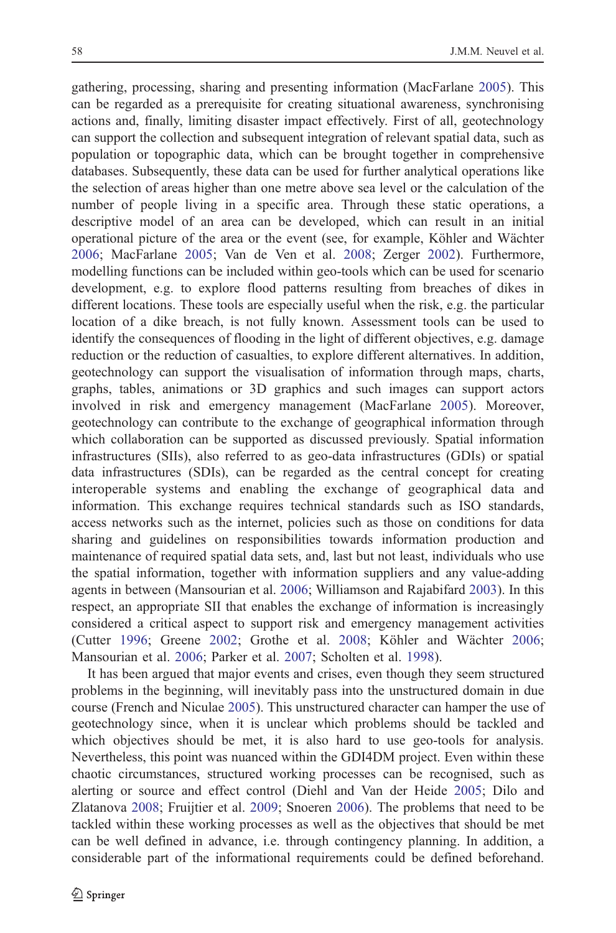gathering, processing, sharing and presenting information (MacFarlane [2005\)](#page-20-0). This can be regarded as a prerequisite for creating situational awareness, synchronising actions and, finally, limiting disaster impact effectively. First of all, geotechnology can support the collection and subsequent integration of relevant spatial data, such as population or topographic data, which can be brought together in comprehensive databases. Subsequently, these data can be used for further analytical operations like the selection of areas higher than one metre above sea level or the calculation of the number of people living in a specific area. Through these static operations, a descriptive model of an area can be developed, which can result in an initial operational picture of the area or the event (see, for example, Köhler and Wächter [2006;](#page-20-0) MacFarlane [2005;](#page-20-0) Van de Ven et al. [2008](#page-21-0); Zerger [2002](#page-21-0)). Furthermore, modelling functions can be included within geo-tools which can be used for scenario development, e.g. to explore flood patterns resulting from breaches of dikes in different locations. These tools are especially useful when the risk, e.g. the particular location of a dike breach, is not fully known. Assessment tools can be used to identify the consequences of flooding in the light of different objectives, e.g. damage reduction or the reduction of casualties, to explore different alternatives. In addition, geotechnology can support the visualisation of information through maps, charts, graphs, tables, animations or 3D graphics and such images can support actors involved in risk and emergency management (MacFarlane [2005](#page-20-0)). Moreover, geotechnology can contribute to the exchange of geographical information through which collaboration can be supported as discussed previously. Spatial information infrastructures (SIIs), also referred to as geo-data infrastructures (GDIs) or spatial data infrastructures (SDIs), can be regarded as the central concept for creating interoperable systems and enabling the exchange of geographical data and information. This exchange requires technical standards such as ISO standards, access networks such as the internet, policies such as those on conditions for data sharing and guidelines on responsibilities towards information production and maintenance of required spatial data sets, and, last but not least, individuals who use the spatial information, together with information suppliers and any value-adding agents in between (Mansourian et al. [2006;](#page-20-0) Williamson and Rajabifard [2003\)](#page-21-0). In this respect, an appropriate SII that enables the exchange of information is increasingly considered a critical aspect to support risk and emergency management activities (Cutter [1996](#page-20-0); Greene [2002;](#page-20-0) Grothe et al. [2008;](#page-20-0) Köhler and Wächter [2006;](#page-20-0) Mansourian et al. [2006;](#page-20-0) Parker et al. [2007;](#page-20-0) Scholten et al. [1998](#page-21-0)).

It has been argued that major events and crises, even though they seem structured problems in the beginning, will inevitably pass into the unstructured domain in due course (French and Niculae [2005\)](#page-20-0). This unstructured character can hamper the use of geotechnology since, when it is unclear which problems should be tackled and which objectives should be met, it is also hard to use geo-tools for analysis. Nevertheless, this point was nuanced within the GDI4DM project. Even within these chaotic circumstances, structured working processes can be recognised, such as alerting or source and effect control (Diehl and Van der Heide [2005](#page-20-0); Dilo and Zlatanova [2008;](#page-20-0) Fruijtier et al. [2009](#page-20-0); Snoeren [2006](#page-21-0)). The problems that need to be tackled within these working processes as well as the objectives that should be met can be well defined in advance, i.e. through contingency planning. In addition, a considerable part of the informational requirements could be defined beforehand.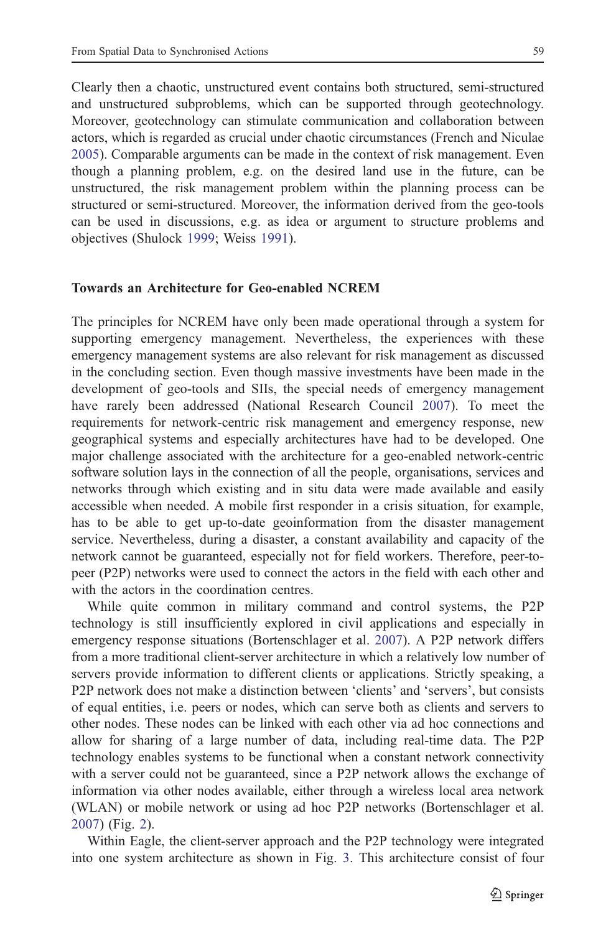Clearly then a chaotic, unstructured event contains both structured, semi-structured and unstructured subproblems, which can be supported through geotechnology. Moreover, geotechnology can stimulate communication and collaboration between actors, which is regarded as crucial under chaotic circumstances (French and Niculae [2005\)](#page-20-0). Comparable arguments can be made in the context of risk management. Even though a planning problem, e.g. on the desired land use in the future, can be unstructured, the risk management problem within the planning process can be structured or semi-structured. Moreover, the information derived from the geo-tools can be used in discussions, e.g. as idea or argument to structure problems and objectives (Shulock [1999](#page-21-0); Weiss [1991](#page-21-0)).

#### Towards an Architecture for Geo-enabled NCREM

The principles for NCREM have only been made operational through a system for supporting emergency management. Nevertheless, the experiences with these emergency management systems are also relevant for risk management as discussed in the concluding section. Even though massive investments have been made in the development of geo-tools and SIIs, the special needs of emergency management have rarely been addressed (National Research Council [2007\)](#page-20-0). To meet the requirements for network-centric risk management and emergency response, new geographical systems and especially architectures have had to be developed. One major challenge associated with the architecture for a geo-enabled network-centric software solution lays in the connection of all the people, organisations, services and networks through which existing and in situ data were made available and easily accessible when needed. A mobile first responder in a crisis situation, for example, has to be able to get up-to-date geoinformation from the disaster management service. Nevertheless, during a disaster, a constant availability and capacity of the network cannot be guaranteed, especially not for field workers. Therefore, peer-topeer (P2P) networks were used to connect the actors in the field with each other and with the actors in the coordination centres.

While quite common in military command and control systems, the P2P technology is still insufficiently explored in civil applications and especially in emergency response situations (Bortenschlager et al. [2007](#page-20-0)). A P2P network differs from a more traditional client-server architecture in which a relatively low number of servers provide information to different clients or applications. Strictly speaking, a P2P network does not make a distinction between 'clients' and 'servers', but consists of equal entities, i.e. peers or nodes, which can serve both as clients and servers to other nodes. These nodes can be linked with each other via ad hoc connections and allow for sharing of a large number of data, including real-time data. The P2P technology enables systems to be functional when a constant network connectivity with a server could not be guaranteed, since a P2P network allows the exchange of information via other nodes available, either through a wireless local area network (WLAN) or mobile network or using ad hoc P2P networks (Bortenschlager et al. [2007\)](#page-20-0) (Fig. [2\)](#page-9-0).

Within Eagle, the client-server approach and the P2P technology were integrated into one system architecture as shown in Fig. [3.](#page-9-0) This architecture consist of four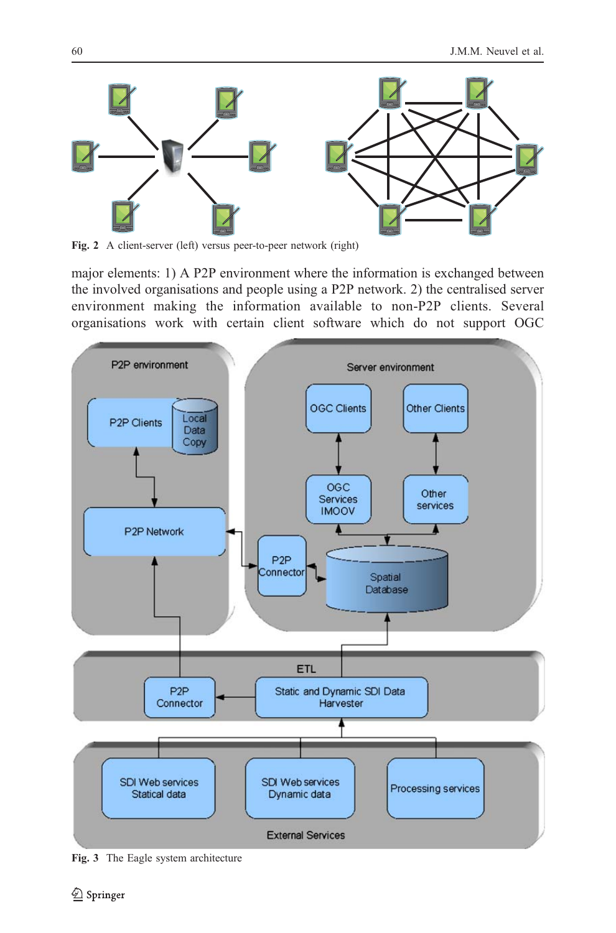<span id="page-9-0"></span>

Fig. 2 A client-server (left) versus peer-to-peer network (right)

major elements: 1) A P2P environment where the information is exchanged between the involved organisations and people using a P2P network. 2) the centralised server environment making the information available to non-P2P clients. Several organisations work with certain client software which do not support OGC



Fig. 3 The Eagle system architecture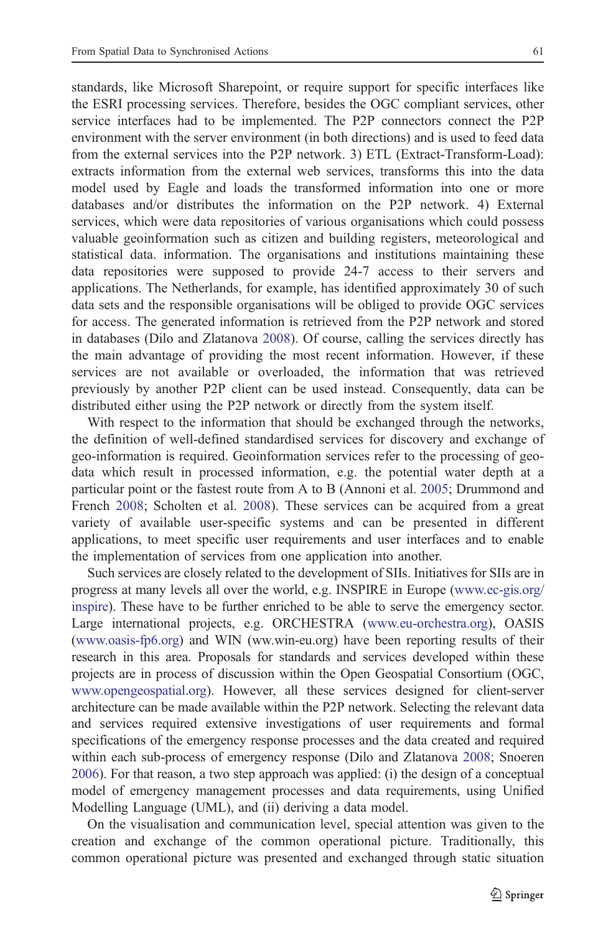standards, like Microsoft Sharepoint, or require support for specific interfaces like the ESRI processing services. Therefore, besides the OGC compliant services, other service interfaces had to be implemented. The P2P connectors connect the P2P environment with the server environment (in both directions) and is used to feed data from the external services into the P2P network. 3) ETL (Extract-Transform-Load): extracts information from the external web services, transforms this into the data model used by Eagle and loads the transformed information into one or more databases and/or distributes the information on the P2P network. 4) External services, which were data repositories of various organisations which could possess valuable geoinformation such as citizen and building registers, meteorological and statistical data. information. The organisations and institutions maintaining these data repositories were supposed to provide 24-7 access to their servers and applications. The Netherlands, for example, has identified approximately 30 of such data sets and the responsible organisations will be obliged to provide OGC services for access. The generated information is retrieved from the P2P network and stored in databases (Dilo and Zlatanova [2008](#page-20-0)). Of course, calling the services directly has the main advantage of providing the most recent information. However, if these services are not available or overloaded, the information that was retrieved previously by another P2P client can be used instead. Consequently, data can be distributed either using the P2P network or directly from the system itself.

With respect to the information that should be exchanged through the networks, the definition of well-defined standardised services for discovery and exchange of geo-information is required. Geoinformation services refer to the processing of geodata which result in processed information, e.g. the potential water depth at a particular point or the fastest route from A to B (Annoni et al. [2005](#page-19-0); Drummond and French [2008;](#page-20-0) Scholten et al. [2008](#page-21-0)). These services can be acquired from a great variety of available user-specific systems and can be presented in different applications, to meet specific user requirements and user interfaces and to enable the implementation of services from one application into another.

Such services are closely related to the development of SIIs. Initiatives for SIIs are in progress at many levels all over the world, e.g. INSPIRE in Europe [\(www.ec-gis.org/](http://www.ec-gis.org/inspire) [inspire](http://www.ec-gis.org/inspire)). These have to be further enriched to be able to serve the emergency sector. Large international projects, e.g. ORCHESTRA [\(www.eu-orchestra.org](http://www.eu-orchestra.org)), OASIS [\(www.oasis-fp6.org\)](http://www.oasis-fp6.org) and WIN (ww.win-eu.org) have been reporting results of their research in this area. Proposals for standards and services developed within these projects are in process of discussion within the Open Geospatial Consortium (OGC, <www.opengeospatial.org>). However, all these services designed for client-server architecture can be made available within the P2P network. Selecting the relevant data and services required extensive investigations of user requirements and formal specifications of the emergency response processes and the data created and required within each sub-process of emergency response (Dilo and Zlatanova [2008](#page-20-0); Snoeren [2006\)](#page-21-0). For that reason, a two step approach was applied: (i) the design of a conceptual model of emergency management processes and data requirements, using Unified Modelling Language (UML), and (ii) deriving a data model.

On the visualisation and communication level, special attention was given to the creation and exchange of the common operational picture. Traditionally, this common operational picture was presented and exchanged through static situation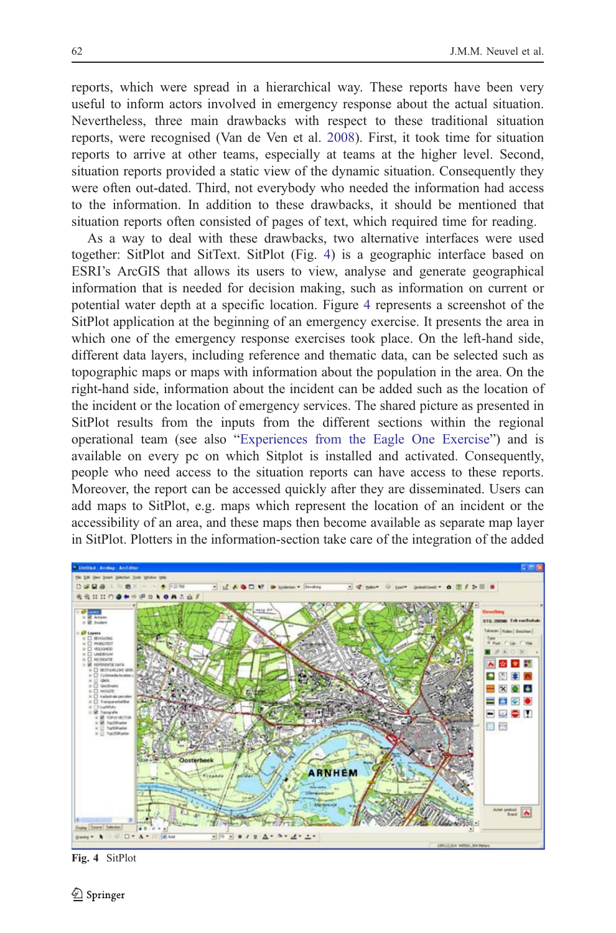reports, which were spread in a hierarchical way. These reports have been very useful to inform actors involved in emergency response about the actual situation. Nevertheless, three main drawbacks with respect to these traditional situation reports, were recognised (Van de Ven et al. [2008](#page-21-0)). First, it took time for situation reports to arrive at other teams, especially at teams at the higher level. Second, situation reports provided a static view of the dynamic situation. Consequently they were often out-dated. Third, not everybody who needed the information had access to the information. In addition to these drawbacks, it should be mentioned that situation reports often consisted of pages of text, which required time for reading.

As a way to deal with these drawbacks, two alternative interfaces were used together: SitPlot and SitText. SitPlot (Fig. 4) is a geographic interface based on ESRI's ArcGIS that allows its users to view, analyse and generate geographical information that is needed for decision making, such as information on current or potential water depth at a specific location. Figure 4 represents a screenshot of the SitPlot application at the beginning of an emergency exercise. It presents the area in which one of the emergency response exercises took place. On the left-hand side, different data layers, including reference and thematic data, can be selected such as topographic maps or maps with information about the population in the area. On the right-hand side, information about the incident can be added such as the location of the incident or the location of emergency services. The shared picture as presented in SitPlot results from the inputs from the different sections within the regional operational team (see also "[Experiences from the Eagle One Exercise](#page-13-0)") and is available on every pc on which Sitplot is installed and activated. Consequently, people who need access to the situation reports can have access to these reports. Moreover, the report can be accessed quickly after they are disseminated. Users can add maps to SitPlot, e.g. maps which represent the location of an incident or the accessibility of an area, and these maps then become available as separate map layer in SitPlot. Plotters in the information-section take care of the integration of the added



Fig. 4 SitPlot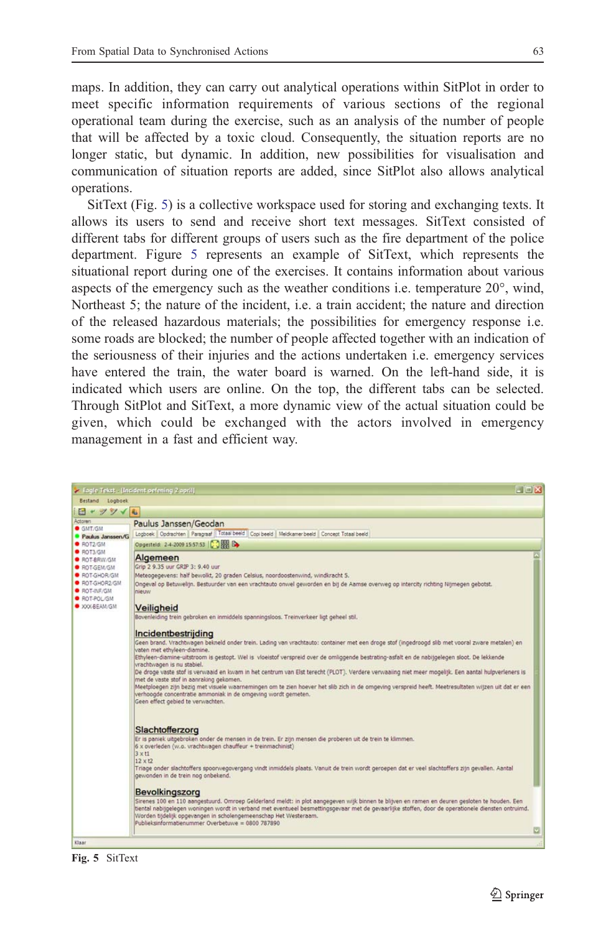maps. In addition, they can carry out analytical operations within SitPlot in order to meet specific information requirements of various sections of the regional operational team during the exercise, such as an analysis of the number of people that will be affected by a toxic cloud. Consequently, the situation reports are no longer static, but dynamic. In addition, new possibilities for visualisation and communication of situation reports are added, since SitPlot also allows analytical operations.

SitText (Fig. 5) is a collective workspace used for storing and exchanging texts. It allows its users to send and receive short text messages. SitText consisted of different tabs for different groups of users such as the fire department of the police department. Figure 5 represents an example of SitText, which represents the situational report during one of the exercises. It contains information about various aspects of the emergency such as the weather conditions i.e. temperature 20°, wind, Northeast 5; the nature of the incident, i.e. a train accident; the nature and direction of the released hazardous materials; the possibilities for emergency response i.e. some roads are blocked; the number of people affected together with an indication of the seriousness of their injuries and the actions undertaken i.e. emergency services have entered the train, the water board is warned. On the left-hand side, it is indicated which users are online. On the top, the different tabs can be selected. Through SitPlot and SitText, a more dynamic view of the actual situation could be given, which could be exchanged with the actors involved in emergency management in a fast and efficient way.

|                                                                                                                                                                                                                       | $\square\square\times$<br>Eagle Tekst [Incident oefening 2 april]                                                                                                                                                                                                                                                                                                                                                                                                                                                                                                                                                                                                                                                                                                                                                                                                                                                                                                                                                                                                                                                                                                                                                                           |
|-----------------------------------------------------------------------------------------------------------------------------------------------------------------------------------------------------------------------|---------------------------------------------------------------------------------------------------------------------------------------------------------------------------------------------------------------------------------------------------------------------------------------------------------------------------------------------------------------------------------------------------------------------------------------------------------------------------------------------------------------------------------------------------------------------------------------------------------------------------------------------------------------------------------------------------------------------------------------------------------------------------------------------------------------------------------------------------------------------------------------------------------------------------------------------------------------------------------------------------------------------------------------------------------------------------------------------------------------------------------------------------------------------------------------------------------------------------------------------|
| Bestand Logboek                                                                                                                                                                                                       |                                                                                                                                                                                                                                                                                                                                                                                                                                                                                                                                                                                                                                                                                                                                                                                                                                                                                                                                                                                                                                                                                                                                                                                                                                             |
| 日ャツツイル                                                                                                                                                                                                                |                                                                                                                                                                                                                                                                                                                                                                                                                                                                                                                                                                                                                                                                                                                                                                                                                                                                                                                                                                                                                                                                                                                                                                                                                                             |
| Actorers<br>GMT/GM<br><sup>O</sup> Paulus Janssen/G<br>ROT2/GM<br>ROT3/GM<br>ROT-BRW/GM<br><b>• ROTGEM/GM</b><br>ROT-GHOR/GM<br><b>O</b> ROT-GHOR2/GM<br><b>• ROT-INF/GM</b><br><b>C</b> ROT-POL/GM<br>O XXXX BEAM/GM | Paulus Janssen/Geodan<br>Logboek   Opdrachten   Paragraaf   Totasi beeld   Copi beeld   Meldkamer beeld   Concept Totasi beeld<br>Opgesteld: 2-4-2009 15:57:53 0                                                                                                                                                                                                                                                                                                                                                                                                                                                                                                                                                                                                                                                                                                                                                                                                                                                                                                                                                                                                                                                                            |
|                                                                                                                                                                                                                       | Algemeen<br>Grip 2 9.35 uur GRIP 3: 9.40 uur<br>Meteogegevens: half bewolkt, 20 graden Celsius, noordoostenwind, windkracht 5.<br>Ongeval op Betuwelijn. Bestuurder van een vrachtauto onwel geworden en bij de Aamse overweg op intercity richting Nijmegen gebotst.<br>nieuw<br>Veiligheid<br>Bovenleiding trein gebroken en inmiddels spanningsloos. Treinverkeer ligt geheel stil.<br>Incidentbestrijding<br>Geen brand. Vrachtwagen bekneld onder trein. Lading van vrachtauto: container met een droge stof (ingedroogd slib met vooral zware metalen) en<br>vaten met ethyleen-diamine.<br>Ethyleen-diamine-uitstroom is gestopt. Wel is vloeistof verspreid over de omliggende bestrating-asfalt en de nabijgelegen sloot. De lekkende<br>vrachtwagen is nu stabiel.<br>De droge vaste stof is verwaaid en kwam in het centrum van Elst terecht (PLOT). Verdere verwaaiing niet meer mogelijk. Een aantal hulpverleners is<br>met de vaste stof in aanraking gekomen.<br>Meetploegen zijn bezig met visuele waarnemingen om te zien hoever het slib zich in de omgeving verspreid heeft. Meetresultaten witzen uit dat er een<br>verhoogde concentratie ammoniak in de omgeving wordt gemeten.<br>Geen effect gebied te verwachten. |
|                                                                                                                                                                                                                       | Slachtofferzorg<br>Er is paniek uitgebroken onder de mensen in de trein. Er zijn mensen die proberen uit de trein te klimmen.<br>6 x overleden (w.o. vrachtwagen chauffeur + treinmachinist)<br>3xt1<br>$12 \times 12$<br>Triage onder slachtoffers spoorwegovergang vindt inmiddels plaats. Vanuit de trein wordt geroepen dat er veel slachtoffers zijn gevallen. Aantal<br>gewonden in de trein nog onbekend.<br>Bevolkingszorg<br>Sirenes 100 en 110 aangestuurd. Omroep Gelderland meldt: in plot aangegeven wijk binnen te blijven en ramen en deuren gesloten te houden. Een<br>bental nabijgelegen woningen wordt in verband met eventueel besmettingsgevaar met de gevaarlijke stoffen, door de operationele diensten ontruimd.<br>Worden tijdelijk opgevangen in scholengemeenschap Het Westeraam.<br>Publieksinformatienummer Overbetuwe = 0800 787890                                                                                                                                                                                                                                                                                                                                                                           |
| Klaar                                                                                                                                                                                                                 | $\Box$                                                                                                                                                                                                                                                                                                                                                                                                                                                                                                                                                                                                                                                                                                                                                                                                                                                                                                                                                                                                                                                                                                                                                                                                                                      |

Fig. 5 SitText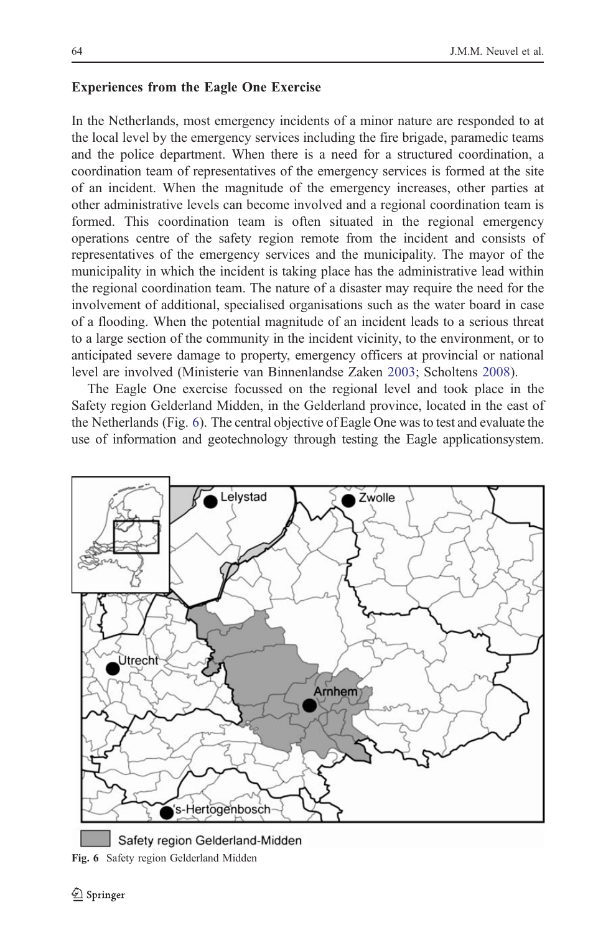### <span id="page-13-0"></span>Experiences from the Eagle One Exercise

In the Netherlands, most emergency incidents of a minor nature are responded to at the local level by the emergency services including the fire brigade, paramedic teams and the police department. When there is a need for a structured coordination, a coordination team of representatives of the emergency services is formed at the site of an incident. When the magnitude of the emergency increases, other parties at other administrative levels can become involved and a regional coordination team is formed. This coordination team is often situated in the regional emergency operations centre of the safety region remote from the incident and consists of representatives of the emergency services and the municipality. The mayor of the municipality in which the incident is taking place has the administrative lead within the regional coordination team. The nature of a disaster may require the need for the involvement of additional, specialised organisations such as the water board in case of a flooding. When the potential magnitude of an incident leads to a serious threat to a large section of the community in the incident vicinity, to the environment, or to anticipated severe damage to property, emergency officers at provincial or national level are involved (Ministerie van Binnenlandse Zaken [2003;](#page-20-0) Scholtens [2008](#page-21-0)).

The Eagle One exercise focussed on the regional level and took place in the Safety region Gelderland Midden, in the Gelderland province, located in the east of the Netherlands (Fig. 6). The central objective of Eagle One was to test and evaluate the use of information and geotechnology through testing the Eagle applicationsystem.





Fig. 6 Safety region Gelderland Midden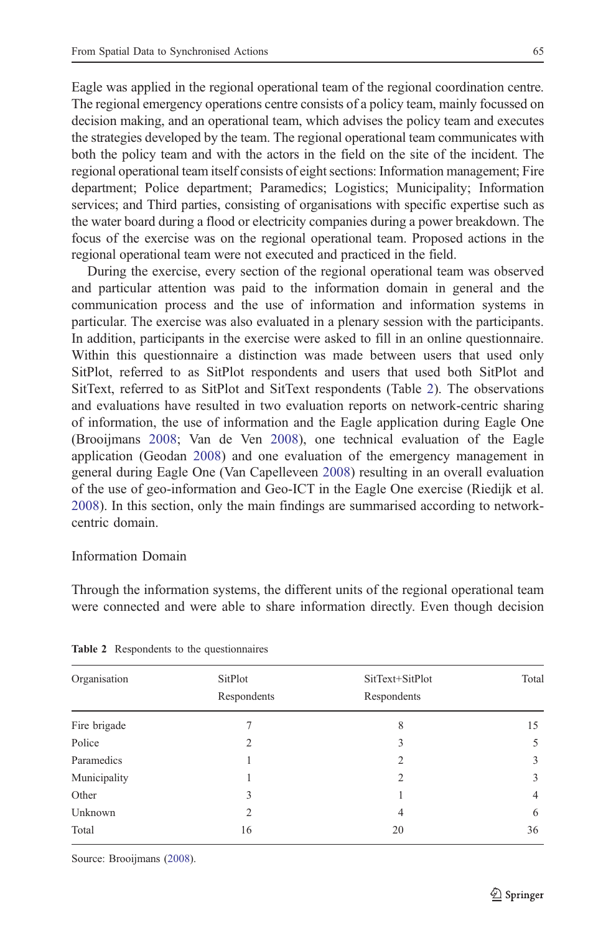Eagle was applied in the regional operational team of the regional coordination centre. The regional emergency operations centre consists of a policy team, mainly focussed on decision making, and an operational team, which advises the policy team and executes the strategies developed by the team. The regional operational team communicates with both the policy team and with the actors in the field on the site of the incident. The regional operational team itself consists of eight sections: Information management; Fire department; Police department; Paramedics; Logistics; Municipality; Information services; and Third parties, consisting of organisations with specific expertise such as the water board during a flood or electricity companies during a power breakdown. The focus of the exercise was on the regional operational team. Proposed actions in the regional operational team were not executed and practiced in the field.

During the exercise, every section of the regional operational team was observed and particular attention was paid to the information domain in general and the communication process and the use of information and information systems in particular. The exercise was also evaluated in a plenary session with the participants. In addition, participants in the exercise were asked to fill in an online questionnaire. Within this questionnaire a distinction was made between users that used only SitPlot, referred to as SitPlot respondents and users that used both SitPlot and SitText, referred to as SitPlot and SitText respondents (Table 2). The observations and evaluations have resulted in two evaluation reports on network-centric sharing of information, the use of information and the Eagle application during Eagle One (Brooijmans [2008](#page-20-0); Van de Ven [2008](#page-21-0)), one technical evaluation of the Eagle application (Geodan [2008\)](#page-20-0) and one evaluation of the emergency management in general during Eagle One (Van Capelleveen [2008](#page-21-0)) resulting in an overall evaluation of the use of geo-information and Geo-ICT in the Eagle One exercise (Riedijk et al. [2008\)](#page-21-0). In this section, only the main findings are summarised according to networkcentric domain.

#### Information Domain

Through the information systems, the different units of the regional operational team were connected and were able to share information directly. Even though decision

| Organisation | SitPlot<br>Respondents | SitText+SitPlot<br>Respondents | Total |
|--------------|------------------------|--------------------------------|-------|
|              |                        |                                |       |
| Fire brigade |                        | 8                              | 15    |
| Police       | 2                      | 3                              | 5     |
| Paramedics   |                        | $\overline{2}$                 | 3     |
| Municipality |                        | 2                              | 3     |
| Other        | 3                      |                                | 4     |
| Unknown      | 2                      | 4                              | 6     |
| Total        | 16                     | 20                             | 36    |

Table 2 Respondents to the questionnaires

Source: Brooijmans ([2008](#page-20-0)).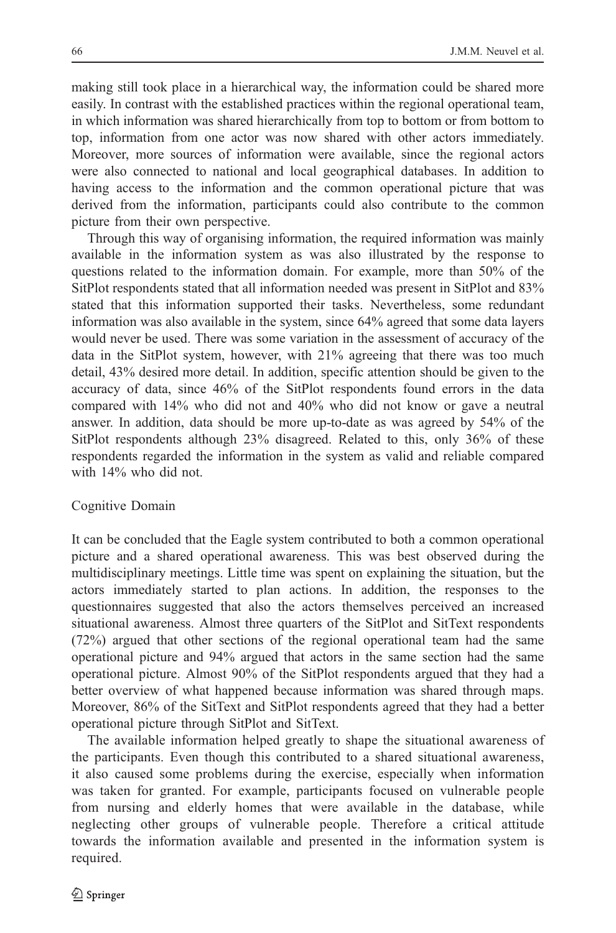making still took place in a hierarchical way, the information could be shared more easily. In contrast with the established practices within the regional operational team, in which information was shared hierarchically from top to bottom or from bottom to top, information from one actor was now shared with other actors immediately. Moreover, more sources of information were available, since the regional actors were also connected to national and local geographical databases. In addition to having access to the information and the common operational picture that was derived from the information, participants could also contribute to the common picture from their own perspective.

Through this way of organising information, the required information was mainly available in the information system as was also illustrated by the response to questions related to the information domain. For example, more than 50% of the SitPlot respondents stated that all information needed was present in SitPlot and 83% stated that this information supported their tasks. Nevertheless, some redundant information was also available in the system, since 64% agreed that some data layers would never be used. There was some variation in the assessment of accuracy of the data in the SitPlot system, however, with 21% agreeing that there was too much detail, 43% desired more detail. In addition, specific attention should be given to the accuracy of data, since 46% of the SitPlot respondents found errors in the data compared with 14% who did not and 40% who did not know or gave a neutral answer. In addition, data should be more up-to-date as was agreed by 54% of the SitPlot respondents although 23% disagreed. Related to this, only 36% of these respondents regarded the information in the system as valid and reliable compared with 14% who did not.

#### Cognitive Domain

It can be concluded that the Eagle system contributed to both a common operational picture and a shared operational awareness. This was best observed during the multidisciplinary meetings. Little time was spent on explaining the situation, but the actors immediately started to plan actions. In addition, the responses to the questionnaires suggested that also the actors themselves perceived an increased situational awareness. Almost three quarters of the SitPlot and SitText respondents (72%) argued that other sections of the regional operational team had the same operational picture and 94% argued that actors in the same section had the same operational picture. Almost 90% of the SitPlot respondents argued that they had a better overview of what happened because information was shared through maps. Moreover, 86% of the SitText and SitPlot respondents agreed that they had a better operational picture through SitPlot and SitText.

The available information helped greatly to shape the situational awareness of the participants. Even though this contributed to a shared situational awareness, it also caused some problems during the exercise, especially when information was taken for granted. For example, participants focused on vulnerable people from nursing and elderly homes that were available in the database, while neglecting other groups of vulnerable people. Therefore a critical attitude towards the information available and presented in the information system is required.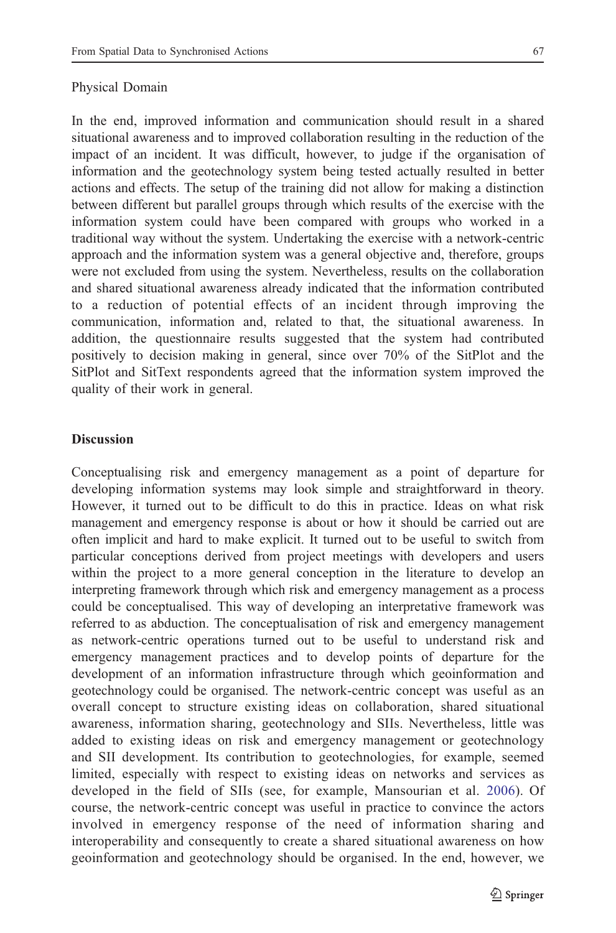### Physical Domain

In the end, improved information and communication should result in a shared situational awareness and to improved collaboration resulting in the reduction of the impact of an incident. It was difficult, however, to judge if the organisation of information and the geotechnology system being tested actually resulted in better actions and effects. The setup of the training did not allow for making a distinction between different but parallel groups through which results of the exercise with the information system could have been compared with groups who worked in a traditional way without the system. Undertaking the exercise with a network-centric approach and the information system was a general objective and, therefore, groups were not excluded from using the system. Nevertheless, results on the collaboration and shared situational awareness already indicated that the information contributed to a reduction of potential effects of an incident through improving the communication, information and, related to that, the situational awareness. In addition, the questionnaire results suggested that the system had contributed positively to decision making in general, since over 70% of the SitPlot and the SitPlot and SitText respondents agreed that the information system improved the quality of their work in general.

## **Discussion**

Conceptualising risk and emergency management as a point of departure for developing information systems may look simple and straightforward in theory. However, it turned out to be difficult to do this in practice. Ideas on what risk management and emergency response is about or how it should be carried out are often implicit and hard to make explicit. It turned out to be useful to switch from particular conceptions derived from project meetings with developers and users within the project to a more general conception in the literature to develop an interpreting framework through which risk and emergency management as a process could be conceptualised. This way of developing an interpretative framework was referred to as abduction. The conceptualisation of risk and emergency management as network-centric operations turned out to be useful to understand risk and emergency management practices and to develop points of departure for the development of an information infrastructure through which geoinformation and geotechnology could be organised. The network-centric concept was useful as an overall concept to structure existing ideas on collaboration, shared situational awareness, information sharing, geotechnology and SIIs. Nevertheless, little was added to existing ideas on risk and emergency management or geotechnology and SII development. Its contribution to geotechnologies, for example, seemed limited, especially with respect to existing ideas on networks and services as developed in the field of SIIs (see, for example, Mansourian et al. [2006\)](#page-20-0). Of course, the network-centric concept was useful in practice to convince the actors involved in emergency response of the need of information sharing and interoperability and consequently to create a shared situational awareness on how geoinformation and geotechnology should be organised. In the end, however, we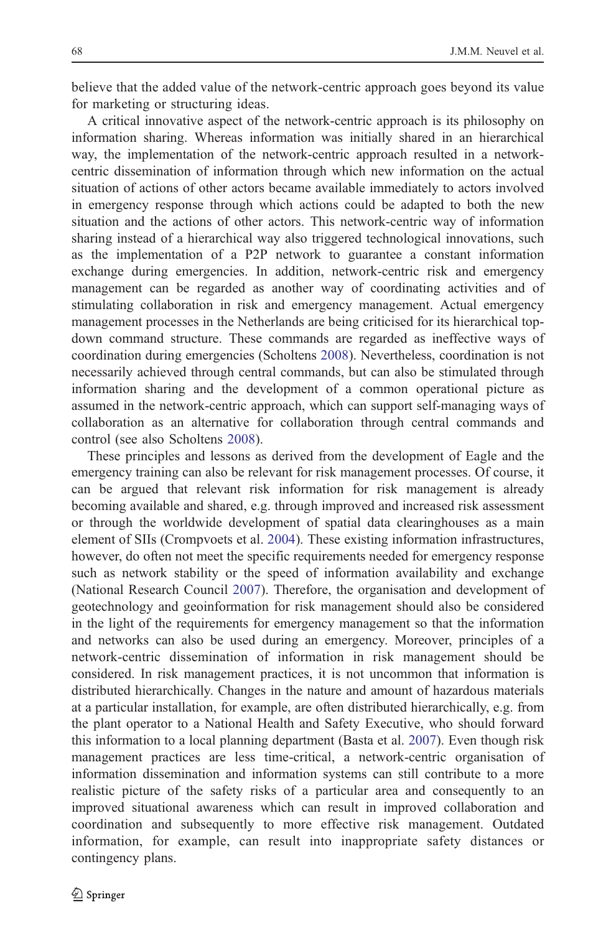believe that the added value of the network-centric approach goes beyond its value for marketing or structuring ideas.

A critical innovative aspect of the network-centric approach is its philosophy on information sharing. Whereas information was initially shared in an hierarchical way, the implementation of the network-centric approach resulted in a networkcentric dissemination of information through which new information on the actual situation of actions of other actors became available immediately to actors involved in emergency response through which actions could be adapted to both the new situation and the actions of other actors. This network-centric way of information sharing instead of a hierarchical way also triggered technological innovations, such as the implementation of a P2P network to guarantee a constant information exchange during emergencies. In addition, network-centric risk and emergency management can be regarded as another way of coordinating activities and of stimulating collaboration in risk and emergency management. Actual emergency management processes in the Netherlands are being criticised for its hierarchical topdown command structure. These commands are regarded as ineffective ways of coordination during emergencies (Scholtens [2008\)](#page-21-0). Nevertheless, coordination is not necessarily achieved through central commands, but can also be stimulated through information sharing and the development of a common operational picture as assumed in the network-centric approach, which can support self-managing ways of collaboration as an alternative for collaboration through central commands and control (see also Scholtens [2008](#page-21-0)).

These principles and lessons as derived from the development of Eagle and the emergency training can also be relevant for risk management processes. Of course, it can be argued that relevant risk information for risk management is already becoming available and shared, e.g. through improved and increased risk assessment or through the worldwide development of spatial data clearinghouses as a main element of SIIs (Crompvoets et al. [2004\)](#page-20-0). These existing information infrastructures, however, do often not meet the specific requirements needed for emergency response such as network stability or the speed of information availability and exchange (National Research Council [2007](#page-20-0)). Therefore, the organisation and development of geotechnology and geoinformation for risk management should also be considered in the light of the requirements for emergency management so that the information and networks can also be used during an emergency. Moreover, principles of a network-centric dissemination of information in risk management should be considered. In risk management practices, it is not uncommon that information is distributed hierarchically. Changes in the nature and amount of hazardous materials at a particular installation, for example, are often distributed hierarchically, e.g. from the plant operator to a National Health and Safety Executive, who should forward this information to a local planning department (Basta et al. [2007\)](#page-20-0). Even though risk management practices are less time-critical, a network-centric organisation of information dissemination and information systems can still contribute to a more realistic picture of the safety risks of a particular area and consequently to an improved situational awareness which can result in improved collaboration and coordination and subsequently to more effective risk management. Outdated information, for example, can result into inappropriate safety distances or contingency plans.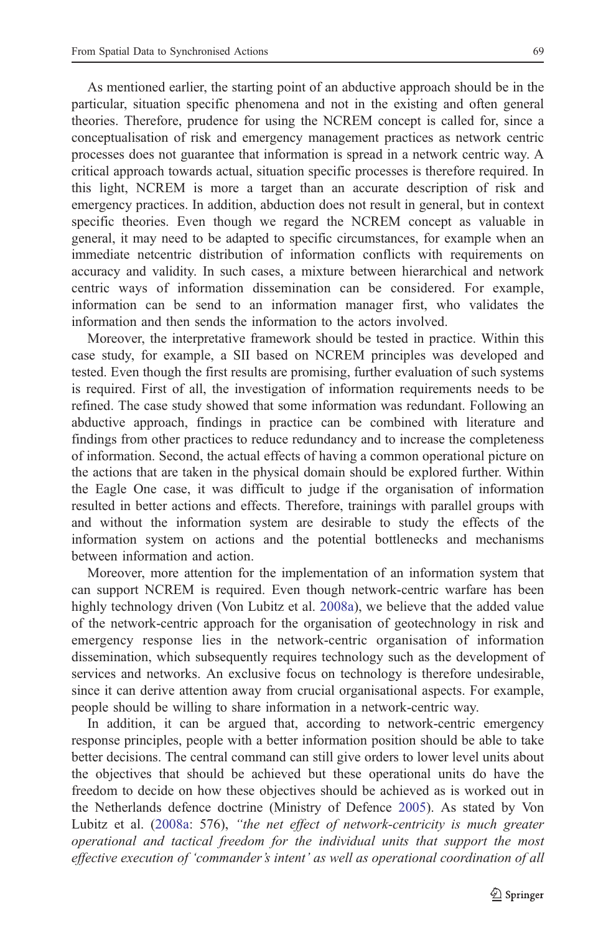As mentioned earlier, the starting point of an abductive approach should be in the particular, situation specific phenomena and not in the existing and often general theories. Therefore, prudence for using the NCREM concept is called for, since a conceptualisation of risk and emergency management practices as network centric processes does not guarantee that information is spread in a network centric way. A critical approach towards actual, situation specific processes is therefore required. In this light, NCREM is more a target than an accurate description of risk and emergency practices. In addition, abduction does not result in general, but in context specific theories. Even though we regard the NCREM concept as valuable in general, it may need to be adapted to specific circumstances, for example when an immediate netcentric distribution of information conflicts with requirements on accuracy and validity. In such cases, a mixture between hierarchical and network centric ways of information dissemination can be considered. For example, information can be send to an information manager first, who validates the information and then sends the information to the actors involved.

Moreover, the interpretative framework should be tested in practice. Within this case study, for example, a SII based on NCREM principles was developed and tested. Even though the first results are promising, further evaluation of such systems is required. First of all, the investigation of information requirements needs to be refined. The case study showed that some information was redundant. Following an abductive approach, findings in practice can be combined with literature and findings from other practices to reduce redundancy and to increase the completeness of information. Second, the actual effects of having a common operational picture on the actions that are taken in the physical domain should be explored further. Within the Eagle One case, it was difficult to judge if the organisation of information resulted in better actions and effects. Therefore, trainings with parallel groups with and without the information system are desirable to study the effects of the information system on actions and the potential bottlenecks and mechanisms between information and action.

Moreover, more attention for the implementation of an information system that can support NCREM is required. Even though network-centric warfare has been highly technology driven (Von Lubitz et al. [2008a\)](#page-21-0), we believe that the added value of the network-centric approach for the organisation of geotechnology in risk and emergency response lies in the network-centric organisation of information dissemination, which subsequently requires technology such as the development of services and networks. An exclusive focus on technology is therefore undesirable, since it can derive attention away from crucial organisational aspects. For example, people should be willing to share information in a network-centric way.

In addition, it can be argued that, according to network-centric emergency response principles, people with a better information position should be able to take better decisions. The central command can still give orders to lower level units about the objectives that should be achieved but these operational units do have the freedom to decide on how these objectives should be achieved as is worked out in the Netherlands defence doctrine (Ministry of Defence [2005](#page-20-0)). As stated by Von Lubitz et al. ([2008a](#page-21-0): 576), "the net effect of network-centricity is much greater operational and tactical freedom for the individual units that support the most effective execution of 'commander's intent' as well as operational coordination of all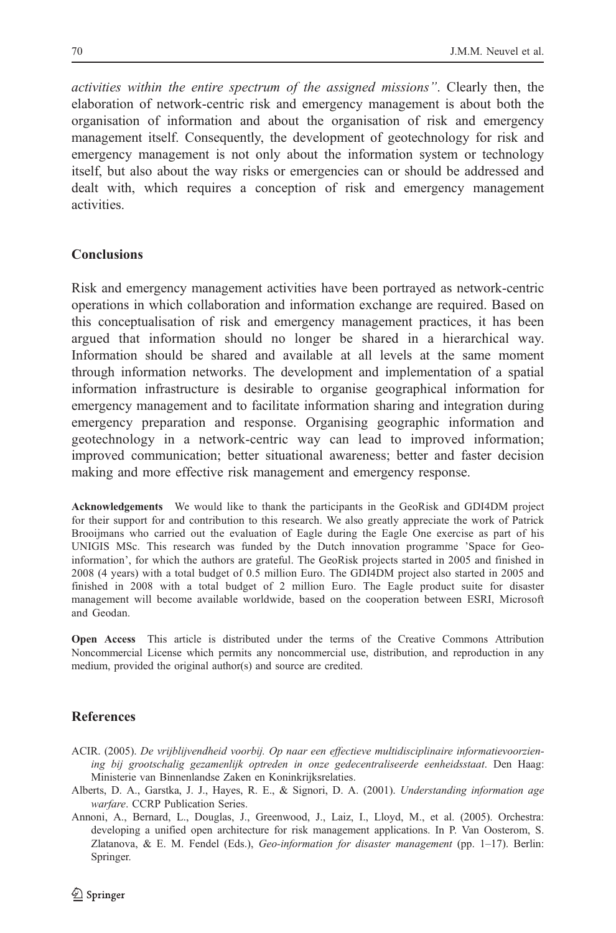<span id="page-19-0"></span>activities within the entire spectrum of the assigned missions". Clearly then, the elaboration of network-centric risk and emergency management is about both the organisation of information and about the organisation of risk and emergency management itself. Consequently, the development of geotechnology for risk and emergency management is not only about the information system or technology itself, but also about the way risks or emergencies can or should be addressed and dealt with, which requires a conception of risk and emergency management activities.

#### **Conclusions**

Risk and emergency management activities have been portrayed as network-centric operations in which collaboration and information exchange are required. Based on this conceptualisation of risk and emergency management practices, it has been argued that information should no longer be shared in a hierarchical way. Information should be shared and available at all levels at the same moment through information networks. The development and implementation of a spatial information infrastructure is desirable to organise geographical information for emergency management and to facilitate information sharing and integration during emergency preparation and response. Organising geographic information and geotechnology in a network-centric way can lead to improved information; improved communication; better situational awareness; better and faster decision making and more effective risk management and emergency response.

Acknowledgements We would like to thank the participants in the GeoRisk and GDI4DM project for their support for and contribution to this research. We also greatly appreciate the work of Patrick Brooijmans who carried out the evaluation of Eagle during the Eagle One exercise as part of his UNIGIS MSc. This research was funded by the Dutch innovation programme 'Space for Geoinformation', for which the authors are grateful. The GeoRisk projects started in 2005 and finished in 2008 (4 years) with a total budget of 0.5 million Euro. The GDI4DM project also started in 2005 and finished in 2008 with a total budget of 2 million Euro. The Eagle product suite for disaster management will become available worldwide, based on the cooperation between ESRI, Microsoft and Geodan.

Open Access This article is distributed under the terms of the Creative Commons Attribution Noncommercial License which permits any noncommercial use, distribution, and reproduction in any medium, provided the original author(s) and source are credited.

#### References

- ACIR. (2005). De vrijblijvendheid voorbij. Op naar een effectieve multidisciplinaire informatievoorziening bij grootschalig gezamenlijk optreden in onze gedecentraliseerde eenheidsstaat. Den Haag: Ministerie van Binnenlandse Zaken en Koninkrijksrelaties.
- Alberts, D. A., Garstka, J. J., Hayes, R. E., & Signori, D. A. (2001). Understanding information age warfare. CCRP Publication Series.
- Annoni, A., Bernard, L., Douglas, J., Greenwood, J., Laiz, I., Lloyd, M., et al. (2005). Orchestra: developing a unified open architecture for risk management applications. In P. Van Oosterom, S. Zlatanova, & E. M. Fendel (Eds.), Geo-information for disaster management (pp.  $1-17$ ). Berlin: Springer.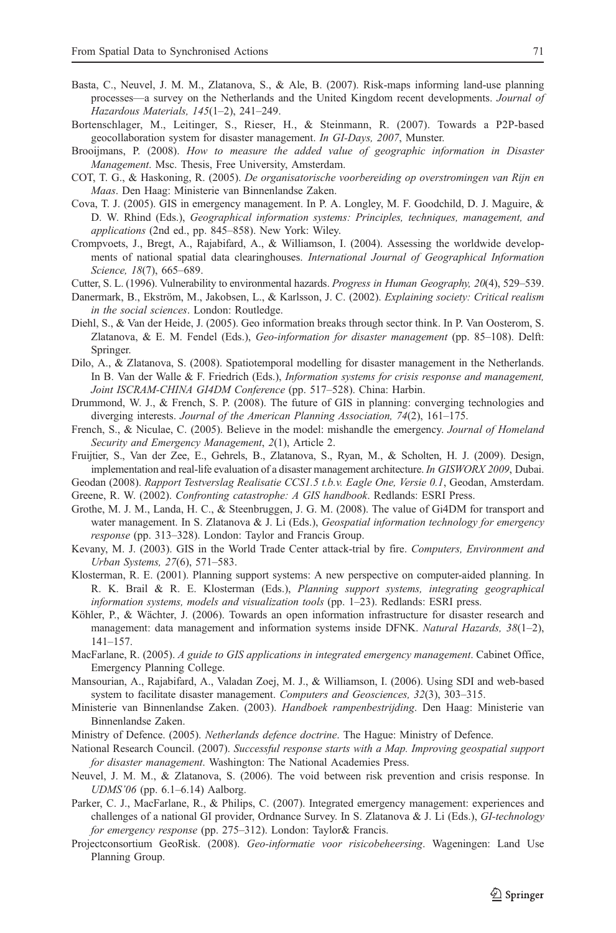- <span id="page-20-0"></span>Basta, C., Neuvel, J. M. M., Zlatanova, S., & Ale, B. (2007). Risk-maps informing land-use planning processes—a survey on the Netherlands and the United Kingdom recent developments. Journal of Hazardous Materials, 145(1–2), 241–249.
- Bortenschlager, M., Leitinger, S., Rieser, H., & Steinmann, R. (2007). Towards a P2P-based geocollaboration system for disaster management. In GI-Days, 2007, Munster.
- Brooijmans, P. (2008). How to measure the added value of geographic information in Disaster Management. Msc. Thesis, Free University, Amsterdam.
- COT, T. G., & Haskoning, R. (2005). De organisatorische voorbereiding op overstromingen van Rijn en Maas. Den Haag: Ministerie van Binnenlandse Zaken.
- Cova, T. J. (2005). GIS in emergency management. In P. A. Longley, M. F. Goodchild, D. J. Maguire, & D. W. Rhind (Eds.), Geographical information systems: Principles, techniques, management, and applications (2nd ed., pp. 845–858). New York: Wiley.
- Crompvoets, J., Bregt, A., Rajabifard, A., & Williamson, I. (2004). Assessing the worldwide developments of national spatial data clearinghouses. International Journal of Geographical Information Science, 18(7), 665–689.
- Cutter, S. L. (1996). Vulnerability to environmental hazards. Progress in Human Geography, 20(4), 529–539.
- Danermark, B., Ekström, M., Jakobsen, L., & Karlsson, J. C. (2002). Explaining society: Critical realism in the social sciences. London: Routledge.
- Diehl, S., & Van der Heide, J. (2005). Geo information breaks through sector think. In P. Van Oosterom, S. Zlatanova, & E. M. Fendel (Eds.), Geo-information for disaster management (pp. 85-108). Delft: Springer.
- Dilo, A., & Zlatanova, S. (2008). Spatiotemporal modelling for disaster management in the Netherlands. In B. Van der Walle & F. Friedrich (Eds.), *Information systems for crisis response and management*, Joint ISCRAM-CHINA GI4DM Conference (pp. 517–528). China: Harbin.
- Drummond, W. J., & French, S. P. (2008). The future of GIS in planning: converging technologies and diverging interests. Journal of the American Planning Association, 74(2), 161–175.
- French, S., & Niculae, C. (2005). Believe in the model: mishandle the emergency. Journal of Homeland Security and Emergency Management, 2(1), Article 2.
- Fruijtier, S., Van der Zee, E., Gehrels, B., Zlatanova, S., Ryan, M., & Scholten, H. J. (2009). Design, implementation and real-life evaluation of a disaster management architecture. In GISWORX 2009, Dubai.
- Geodan (2008). Rapport Testverslag Realisatie CCS1.5 t.b.v. Eagle One, Versie 0.1, Geodan, Amsterdam.
- Greene, R. W. (2002). Confronting catastrophe: A GIS handbook. Redlands: ESRI Press.
- Grothe, M. J. M., Landa, H. C., & Steenbruggen, J. G. M. (2008). The value of Gi4DM for transport and water management. In S. Zlatanova & J. Li (Eds.), Geospatial information technology for emergency response (pp. 313–328). London: Taylor and Francis Group.
- Kevany, M. J. (2003). GIS in the World Trade Center attack-trial by fire. Computers, Environment and Urban Systems, 27(6), 571–583.
- Klosterman, R. E. (2001). Planning support systems: A new perspective on computer-aided planning. In R. K. Brail & R. E. Klosterman (Eds.), Planning support systems, integrating geographical information systems, models and visualization tools (pp. 1–23). Redlands: ESRI press.
- Köhler, P., & Wächter, J. (2006). Towards an open information infrastructure for disaster research and management: data management and information systems inside DFNK. Natural Hazards, 38(1–2), 141–157.
- MacFarlane, R. (2005). A guide to GIS applications in integrated emergency management. Cabinet Office, Emergency Planning College.
- Mansourian, A., Rajabifard, A., Valadan Zoej, M. J., & Williamson, I. (2006). Using SDI and web-based system to facilitate disaster management. Computers and Geosciences, 32(3), 303–315.
- Ministerie van Binnenlandse Zaken. (2003). Handboek rampenbestrijding. Den Haag: Ministerie van Binnenlandse Zaken.
- Ministry of Defence. (2005). Netherlands defence doctrine. The Hague: Ministry of Defence.
- National Research Council. (2007). Successful response starts with a Map. Improving geospatial support for disaster management. Washington: The National Academies Press.
- Neuvel, J. M. M., & Zlatanova, S. (2006). The void between risk prevention and crisis response. In UDMS'06 (pp. 6.1–6.14) Aalborg.
- Parker, C. J., MacFarlane, R., & Philips, C. (2007). Integrated emergency management: experiences and challenges of a national GI provider, Ordnance Survey. In S. Zlatanova & J. Li (Eds.), GI-technology for emergency response (pp. 275–312). London: Taylor& Francis.
- Projectconsortium GeoRisk. (2008). Geo-informatie voor risicobeheersing. Wageningen: Land Use Planning Group.